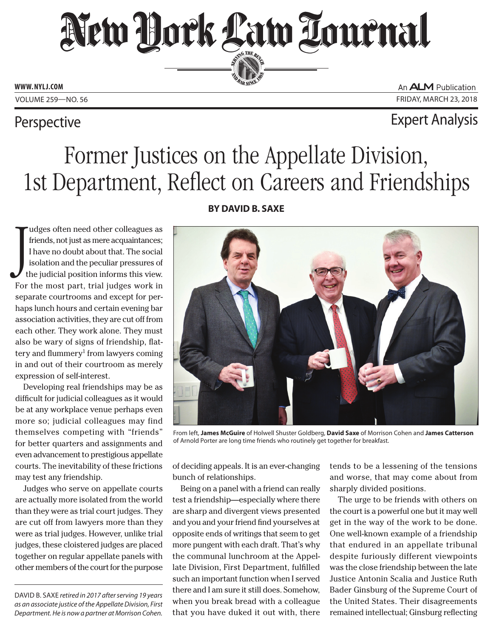# New York Law Tournal SERVING THE BEN

**ED BAR SINCE 188** 

**www. NYLJ.com**

An ALM Publication Volume 259—NO. 56 Friday, March 23, 2018

### Perspective **Expert Analysis**

## Former Justices on the Appellate Division, 1st Department, Reflect on Careers and Friendships

 $\int_{t}$ udges often need other colleagues as friends, not just as mere acquaintances; I have no doubt about that. The social isolation and the peculiar pressures of the judicial position informs this view. For the most part, trial judges work in separate courtrooms and except for perhaps lunch hours and certain evening bar association activities, they are cut off from each other. They work alone. They must also be wary of signs of friendship, flattery and flummery<sup>1</sup> from lawyers coming in and out of their courtroom as merely expression of self-interest.

Developing real friendships may be as difficult for judicial colleagues as it would be at any workplace venue perhaps even more so; judicial colleagues may find themselves competing with "friends" for better quarters and assignments and even advancement to prestigious appellate courts. The inevitability of these frictions may test any friendship.

Judges who serve on appellate courts are actually more isolated from the world than they were as trial court judges. They are cut off from lawyers more than they were as trial judges. However, unlike trial judges, these cloistered judges are placed together on regular appellate panels with other members of the court for the purpose

David B. Saxe *retired in 2017 after serving 19 years as an associate justice of the Appellate Division, First Department. He is now a partner at Morrison Cohen.*

### **By David B. Saxe**



From left, **James McGuire** of Holwell Shuster Goldberg, **David Saxe** of Morrison Cohen and **James Catterson** of Arnold Porter are long time friends who routinely get together for breakfast.

of deciding appeals. It is an ever-changing bunch of relationships.

Being on a panel with a friend can really test a friendship—especially where there are sharp and divergent views presented and you and your friend find yourselves at opposite ends of writings that seem to get more pungent with each draft. That's why the communal lunchroom at the Appellate Division, First Department, fulfilled such an important function when I served there and I am sure it still does. Somehow, when you break bread with a colleague that you have duked it out with, there

tends to be a lessening of the tensions and worse, that may come about from sharply divided positions.

The urge to be friends with others on the court is a powerful one but it may well get in the way of the work to be done. One well-known example of a friendship that endured in an appellate tribunal despite furiously different viewpoints was the close friendship between the late Justice Antonin Scalia and Justice Ruth Bader Ginsburg of the Supreme Court of the United States. Their disagreements remained intellectual; Ginsburg reflecting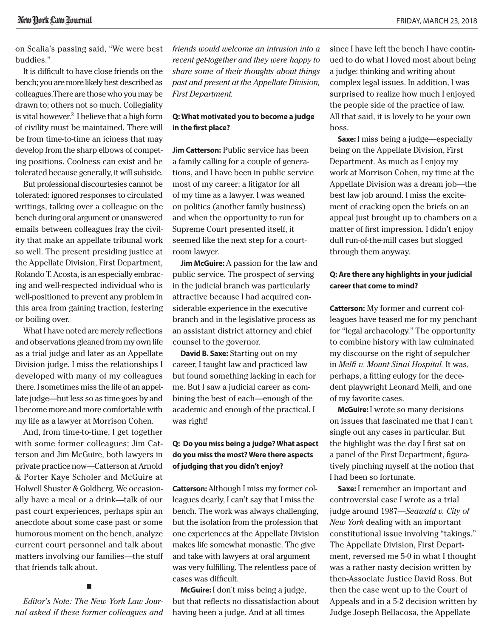on Scalia's passing said, "We were best buddies."

It is difficult to have close friends on the bench; you are more likely best described as colleagues.There are those who you may be drawn to; others not so much. Collegiality is vital however.<sup>2</sup> I believe that a high form of civility must be maintained. There will be from time-to-time an iciness that may develop from the sharp elbows of competing positions. Coolness can exist and be tolerated because generally, it will subside.

But professional discourtesies cannot be tolerated: ignored responses to circulated writings, talking over a colleague on the bench during oral argument or unanswered emails between colleagues fray the civility that make an appellate tribunal work so well. The present presiding justice at the Appellate Division, First Department, Rolando T. Acosta, is an especially embracing and well-respected individual who is well-positioned to prevent any problem in this area from gaining traction, festering or boiling over.

What I have noted are merely reflections and observations gleaned from my own life as a trial judge and later as an Appellate Division judge. I miss the relationships I developed with many of my colleagues there. I sometimes miss the life of an appellate judge—but less so as time goes by and I become more and more comfortable with my life as a lawyer at Morrison Cohen.

And, from time-to-time, I get together with some former colleagues; Jim Catterson and Jim McGuire, both lawyers in private practice now—Catterson at Arnold & Porter Kaye Scholer and McGuire at Holwell Shuster & Goldberg. We occasionally have a meal or a drink—talk of our past court experiences, perhaps spin an anecdote about some case past or some humorous moment on the bench, analyze current court personnel and talk about matters involving our families—the stuff that friends talk about.

*Editor's Note: The New York Law Journal asked if these former colleagues and* 

■

*friends would welcome an intrusion into a recent get-together and they were happy to share some of their thoughts about things past and present at the Appellate Division, First Department.* 

#### **Q: What motivated you to become a judge in the first place?**

**Jim Catterson:** Public service has been a family calling for a couple of generations, and I have been in public service most of my career; a litigator for all of my time as a lawyer. I was weaned on politics (another family business) and when the opportunity to run for Supreme Court presented itself, it seemed like the next step for a courtroom lawyer.

**Jim McGuire:** A passion for the law and public service. The prospect of serving in the judicial branch was particularly attractive because I had acquired considerable experience in the executive branch and in the legislative process as an assistant district attorney and chief counsel to the governor.

**David B. Saxe:** Starting out on my career, I taught law and practiced law but found something lacking in each for me. But I saw a judicial career as combining the best of each—enough of the academic and enough of the practical. I was right!

#### **Q: Do you miss being a judge? What aspect do you miss the most? Were there aspects of judging that you didn't enjoy?**

**Catterson:** Although I miss my former colleagues dearly, I can't say that I miss the bench. The work was always challenging, but the isolation from the profession that one experiences at the Appellate Division makes life somewhat monastic. The give and take with lawyers at oral argument was very fulfilling. The relentless pace of cases was difficult.

**McGuire:** I don't miss being a judge, but that reflects no dissatisfaction about having been a judge. And at all times

since I have left the bench I have continued to do what I loved most about being a judge: thinking and writing about complex legal issues. In addition, I was surprised to realize how much I enjoyed the people side of the practice of law. All that said, it is lovely to be your own boss.

**Saxe:** I miss being a judge—especially being on the Appellate Division, First Department. As much as I enjoy my work at Morrison Cohen, my time at the Appellate Division was a dream job—the best law job around. I miss the excitement of cracking open the briefs on an appeal just brought up to chambers on a matter of first impression. I didn't enjoy dull run-of-the-mill cases but slogged through them anyway.

#### **Q: Are there any highlights in your judicial career that come to mind?**

**Catterson:** My former and current colleagues have teased me for my penchant for "legal archaeology." The opportunity to combine history with law culminated my discourse on the right of sepulcher in *Melfi v. Mount Sinai Hospital.* It was, perhaps, a fitting eulogy for the decedent playwright Leonard Melfi, and one of my favorite cases.

**McGuire:** I wrote so many decisions on issues that fascinated me that I can't single out any cases in particular. But the highlight was the day I first sat on a panel of the First Department, figuratively pinching myself at the notion that I had been so fortunate.

**Saxe:** I remember an important and controversial case I wrote as a trial judge around 1987—*Seawald v. City of New York* dealing with an important constitutional issue involving "takings." The Appellate Division, First Department, reversed me 5-0 in what I thought was a rather nasty decision written by then-Associate Justice David Ross. But then the case went up to the Court of Appeals and in a 5-2 decision written by Judge Joseph Bellacosa, the Appellate